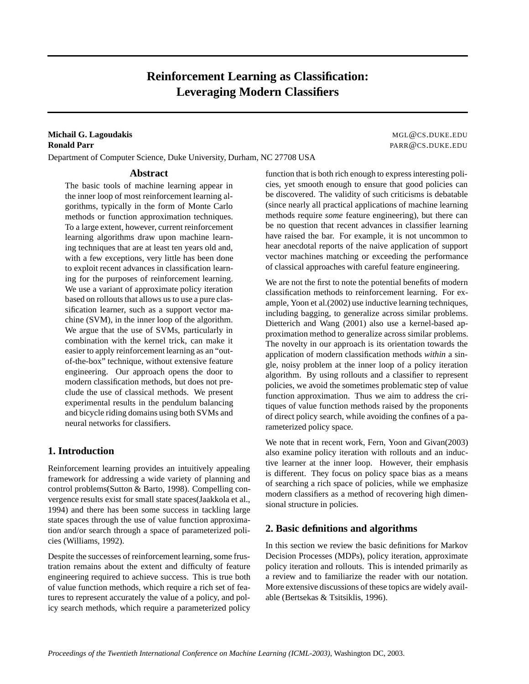# **Reinforcement Learning as Classification: Leveraging Modern Classifiers**

### **Michail G. Lagoudakis** Material Andrew MGL@CS.DUKE.EDU **Ronald Parr** PARR @CS.DUKE.EDU

Department of Computer Science, Duke University, Durham, NC 27708 USA

## **Abstract**

The basic tools of machine learning appear in the inner loop of most reinforcement learning algorithms, typically in the form of Monte Carlo methods or function approximation techniques. To a large extent, however, current reinforcement learning algorithms draw upon machine learning techniques that are at least ten years old and, with a few exceptions, very little has been done to exploit recent advances in classification learning for the purposes of reinforcement learning. We use a variant of approximate policy iteration based on rollouts that allows us to use a pure classification learner, such as a support vector machine (SVM), in the inner loop of the algorithm. We argue that the use of SVMs, particularly in combination with the kernel trick, can make it easier to apply reinforcement learning as an "outof-the-box" technique, without extensive feature engineering. Our approach opens the door to modern classification methods, but does not preclude the use of classical methods. We present experimental results in the pendulum balancing and bicycle riding domains using both SVMs and neural networks for classifiers.

# **1. Introduction**

Reinforcement learning provides an intuitively appealing framework for addressing a wide variety of planning and control problems(Sutton & Barto, 1998). Compelling convergence results exist for small state spaces(Jaakkola et al., 1994) and there has been some success in tackling large state spaces through the use of value function approximation and/or search through a space of parameterized policies (Williams, 1992).

Despite the successes of reinforcement learning, some frustration remains about the extent and difficulty of feature engineering required to achieve success. This is true both of value function methods, which require a rich set of features to represent accurately the value of a policy, and policy search methods, which require a parameterized policy function that is both rich enough to express interesting policies, yet smooth enough to ensure that good policies can be discovered. The validity of such criticisms is debatable (since nearly all practical applications of machine learning methods require *some* feature engineering), but there can be no question that recent advances in classifier learning have raised the bar. For example, it is not uncommon to hear anecdotal reports of the naive application of support vector machines matching or exceeding the performance of classical approaches with careful feature engineering.

We are not the first to note the potential benefits of modern classification methods to reinforcement learning. For example, Yoon et al.(2002) use inductive learning techniques, including bagging, to generalize across similar problems. Dietterich and Wang (2001) also use a kernel-based approximation method to generalize across similar problems. The novelty in our approach is its orientation towards the application of modern classification methods *within* a single, noisy problem at the inner loop of a policy iteration algorithm. By using rollouts and a classifier to represent policies, we avoid the sometimes problematic step of value function approximation. Thus we aim to address the critiques of value function methods raised by the proponents of direct policy search, while avoiding the confines of a parameterized policy space.

We note that in recent work, Fern, Yoon and Givan(2003) also examine policy iteration with rollouts and an inductive learner at the inner loop. However, their emphasis is different. They focus on policy space bias as a means of searching a rich space of policies, while we emphasize modern classifiers as a method of recovering high dimensional structure in policies.

# **2. Basic definitions and algorithms**

In this section we review the basic definitions for Markov Decision Processes (MDPs), policy iteration, approximate policy iteration and rollouts. This is intended primarily as a review and to familiarize the reader with our notation. More extensive discussions of these topics are widely available (Bertsekas & Tsitsiklis, 1996).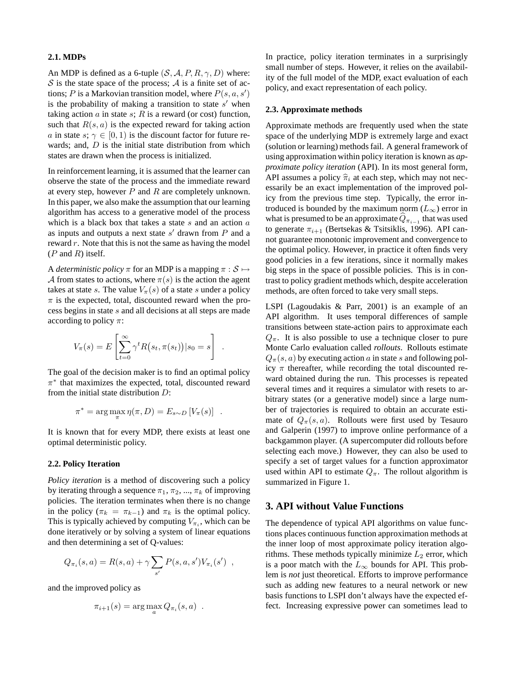#### **2.1. MDPs**

An MDP is defined as a 6-tuple  $(S, A, P, R, \gamma, D)$  where:  $S$  is the state space of the process;  $\mathcal A$  is a finite set of actions; P is a Markovian transition model, where  $P(s, a, s')$ is the probability of making a transition to state  $s'$  when taking action  $a$  in state  $s$ ;  $R$  is a reward (or cost) function, such that  $R(s, a)$  is the expected reward for taking action a in state s;  $\gamma \in [0, 1)$  is the discount factor for future rewards; and,  $D$  is the initial state distribution from which states are drawn when the process is initialized.

In reinforcement learning, it is assumed that the learner can observe the state of the process and the immediate reward at every step, however  $P$  and  $R$  are completely unknown. In this paper, we also make the assumption that our learning algorithm has access to a generative model of the process which is a black box that takes a state  $s$  and an action  $a$ as inputs and outputs a next state  $s'$  drawn from P and a reward  $r$ . Note that this is not the same as having the model  $(P \text{ and } R)$  itself.

A *deterministic policy*  $\pi$  for an MDP is a mapping  $\pi : \mathcal{S} \mapsto$ A from states to actions, where  $\pi(s)$  is the action the agent takes at state s. The value  $V_\pi(s)$  of a state s under a policy  $\pi$  is the expected, total, discounted reward when the process begins in state s and all decisions at all steps are made according to policy  $\pi$ :

$$
V_{\pi}(s) = E\left[\sum_{t=0}^{\infty} \gamma^t R(s_t, \pi(s_t)) | s_0 = s\right]
$$

.

The goal of the decision maker is to find an optimal policy  $\pi^*$  that maximizes the expected, total, discounted reward from the initial state distribution D:

$$
\pi^* = \arg\max_{\pi} \eta(\pi, D) = E_{s \sim D} [V_{\pi}(s)] .
$$

It is known that for every MDP, there exists at least one optimal deterministic policy.

#### **2.2. Policy Iteration**

*Policy iteration* is a method of discovering such a policy by iterating through a sequence  $\pi_1$ ,  $\pi_2$ , ...,  $\pi_k$  of improving policies. The iteration terminates when there is no change in the policy ( $\pi_k = \pi_{k-1}$ ) and  $\pi_k$  is the optimal policy. This is typically achieved by computing  $V_{\pi_i}$ , which can be done iteratively or by solving a system of linear equations and then determining a set of Q-values:

$$
Q_{\pi_i}(s, a) = R(s, a) + \gamma \sum_{s'} P(s, a, s') V_{\pi_i}(s') ,
$$

and the improved policy as

$$
\pi_{i+1}(s) = \arg\max_a Q_{\pi_i}(s, a) .
$$

In practice, policy iteration terminates in a surprisingly small number of steps. However, it relies on the availability of the full model of the MDP, exact evaluation of each policy, and exact representation of each policy.

#### **2.3. Approximate methods**

Approximate methods are frequently used when the state space of the underlying MDP is extremely large and exact (solution or learning) methods fail. A general framework of using approximation within policy iteration is known as *approximate policy iteration* (API). In its most general form, API assumes a policy  $\hat{\pi}_i$  at each step, which may not necessarily be an exact implementation of the improved policy from the previous time step. Typically, the error introduced is bounded by the maximum norm  $(L_{\infty})$  error in what is presumed to be an approximate  $Q_{\pi_{i-1}}$  that was used to generate  $\pi_{i+1}$  (Bertsekas & Tsitsiklis, 1996). API cannot guarantee monotonic improvement and convergence to the optimal policy. However, in practice it often finds very good policies in a few iterations, since it normally makes big steps in the space of possible policies. This is in contrast to policy gradient methods which, despite acceleration methods, are often forced to take very small steps.

LSPI (Lagoudakis & Parr, 2001) is an example of an API algorithm. It uses temporal differences of sample transitions between state-action pairs to approximate each  $Q_{\pi}$ . It is also possible to use a technique closer to pure Monte Carlo evaluation called *rollouts*. Rollouts estimate  $Q_{\pi}(s, a)$  by executing action a in state s and following policy  $\pi$  thereafter, while recording the total discounted reward obtained during the run. This processes is repeated several times and it requires a simulator with resets to arbitrary states (or a generative model) since a large number of trajectories is required to obtain an accurate estimate of  $Q_{\pi}(s, a)$ . Rollouts were first used by Tesauro and Galperin (1997) to improve online performance of a backgammon player. (A supercomputer did rollouts before selecting each move.) However, they can also be used to specify a set of target values for a function approximator used within API to estimate  $Q_{\pi}$ . The rollout algorithm is summarized in Figure 1.

### **3. API without Value Functions**

The dependence of typical API algorithms on value functions places continuous function approximation methods at the inner loop of most approximate policy iteration algorithms. These methods typically minimize  $L_2$  error, which is a poor match with the  $L_{\infty}$  bounds for API. This problem is *not* just theoretical. Efforts to improve performance such as adding new features to a neural network or new basis functions to LSPI don't always have the expected effect. Increasing expressive power can sometimes lead to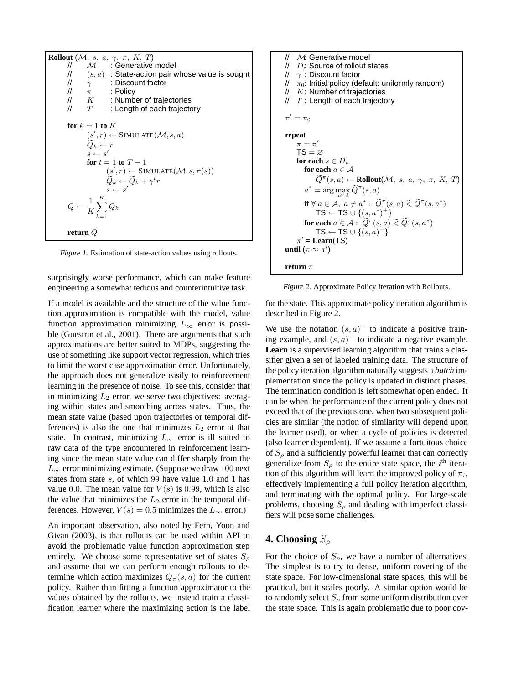

Figure 1. Estimation of state-action values using rollouts.

surprisingly worse performance, which can make feature engineering a somewhat tedious and counterintuitive task.

If a model is available and the structure of the value function approximation is compatible with the model, value function approximation minimizing  $L_{\infty}$  error is possible (Guestrin et al., 2001). There are arguments that such approximations are better suited to MDPs, suggesting the use of something like support vector regression, which tries to limit the worst case approximation error. Unfortunately, the approach does not generalize easily to reinforcement learning in the presence of noise. To see this, consider that in minimizing  $L_2$  error, we serve two objectives: averaging within states and smoothing across states. Thus, the mean state value (based upon trajectories or temporal differences) is also the one that minimizes  $L_2$  error at that state. In contrast, minimizing  $L_{\infty}$  error is ill suited to raw data of the type encountered in reinforcement learning since the mean state value can differ sharply from the  $L_{\infty}$  error minimizing estimate. (Suppose we draw 100 next states from state <sup>s</sup>, of which 99 have value 1.0 and 1 has value 0.0. The mean value for  $V(s)$  is 0.99, which is also the value that minimizes the  $L_2$  error in the temporal differences. However,  $V(s)=0.5$  minimizes the  $L_{\infty}$  error.)

An important observation, also noted by Fern, Yoon and Givan (2003), is that rollouts can be used within API to avoid the problematic value function approximation step entirely. We choose some representative set of states  $S_{\rho}$ and assume that we can perform enough rollouts to determine which action maximizes  $Q_{\pi}(s, a)$  for the current policy. Rather than fitting a function approximator to the values obtained by the rollouts, we instead train a classification learner where the maximizing action is the label



Figure 2. Approximate Policy Iteration with Rollouts.

for the state. This approximate policy iteration algorithm is described in Figure 2.

We use the notation  $(s, a)^+$  to indicate a positive training example, and  $(s, a)$ <sup>-</sup> to indicate a negative example. **Learn** is a supervised learning algorithm that trains a classifier given a set of labeled training data. The structure of the policy iteration algorithm naturally suggests a *batch* implementation since the policy is updated in distinct phases. The termination condition is left somewhat open ended. It can be when the performance of the current policy does not exceed that of the previous one, when two subsequent policies are similar (the notion of similarity will depend upon the learner used), or when a cycle of policies is detected (also learner dependent). If we assume a fortuitous choice of  $S_\rho$  and a sufficiently powerful learner that can correctly generalize from  $S_\rho$  to the entire state space, the i<sup>th</sup> iteration of this algorithm will learn the improved policy of  $\pi_i$ , effectively implementing a full policy iteration algorithm, and terminating with the optimal policy. For large-scale problems, choosing  $S<sub>o</sub>$  and dealing with imperfect classifiers will pose some challenges.

### **4. Choosing** S<sup>ρ</sup>

For the choice of  $S_\rho$ , we have a number of alternatives. The simplest is to try to dense, uniform covering of the state space. For low-dimensional state spaces, this will be practical, but it scales poorly. A similar option would be to randomly select  $S_\rho$  from some uniform distribution over the state space. This is again problematic due to poor cov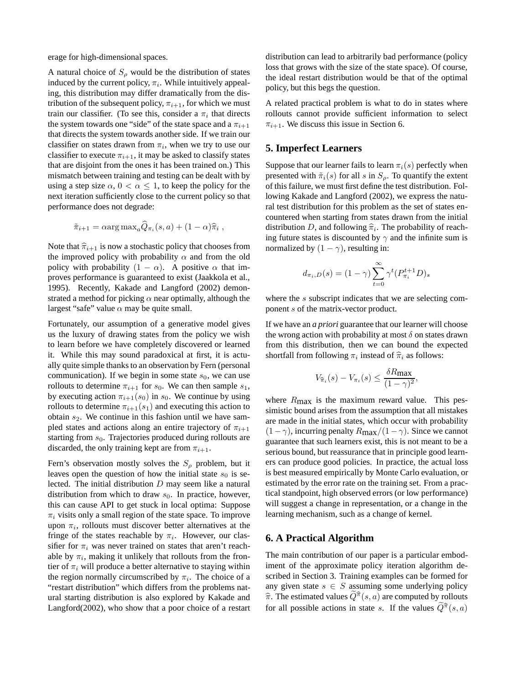erage for high-dimensional spaces.

A natural choice of  $S_\rho$  would be the distribution of states induced by the current policy,  $\pi_i$ . While intuitively appealing, this distribution may differ dramatically from the distribution of the subsequent policy,  $\pi_{i+1}$ , for which we must train our classifier. (To see this, consider a  $\pi_i$  that directs the system towards one "side" of the state space and a  $\pi_{i+1}$ that directs the system towards another side. If we train our classifier on states drawn from  $\pi_i$ , when we try to use our classifier to execute  $\pi_{i+1}$ , it may be asked to classify states that are disjoint from the ones it has been trained on.) This mismatch between training and testing can be dealt with by using a step size  $\alpha$ ,  $0 < \alpha \leq 1$ , to keep the policy for the next iteration sufficiently close to the current policy so that performance does not degrade:

$$
\tilde{\pi}_{i+1} = \alpha \arg \max_{a} \widehat{Q}_{\pi_i}(s, a) + (1 - \alpha)\widehat{\pi}_i ,
$$

Note that  $\hat{\pi}_{i+1}$  is now a stochastic policy that chooses from the improved policy with probability  $\alpha$  and from the old policy with probability  $(1 - \alpha)$ . A positive  $\alpha$  that improves performance is guaranteed to exist (Jaakkola et al., 1995). Recently, Kakade and Langford (2002) demonstrated a method for picking  $\alpha$  near optimally, although the largest "safe" value  $\alpha$  may be quite small.

Fortunately, our assumption of a generative model gives us the luxury of drawing states from the policy we wish to learn before we have completely discovered or learned it. While this may sound paradoxical at first, it is actually quite simple thanks to an observation by Fern (personal communication). If we begin in some state  $s_0$ , we can use rollouts to determine  $\pi_{i+1}$  for  $s_0$ . We can then sample  $s_1$ , by executing action  $\pi_{i+1}(s_0)$  in  $s_0$ . We continue by using rollouts to determine  $\pi_{i+1}(s_1)$  and executing this action to obtain  $s_2$ . We continue in this fashion until we have sampled states and actions along an entire trajectory of  $\pi_{i+1}$ starting from  $s_0$ . Trajectories produced during rollouts are discarded, the only training kept are from  $\pi_{i+1}$ .

Fern's observation mostly solves the  $S_\rho$  problem, but it leaves open the question of how the initial state  $s_0$  is selected. The initial distribution  $D$  may seem like a natural distribution from which to draw  $s_0$ . In practice, however, this can cause API to get stuck in local optima: Suppose  $\pi_i$  visits only a small region of the state space. To improve upon  $\pi_i$ , rollouts must discover better alternatives at the fringe of the states reachable by  $\pi_i$ . However, our classifier for  $\pi_i$  was never trained on states that aren't reachable by  $\pi_i$ , making it unlikely that rollouts from the frontier of  $\pi_i$  will produce a better alternative to staying within the region normally circumscribed by  $\pi_i$ . The choice of a "restart distribution" which differs from the problems natural starting distribution is also explored by Kakade and Langford(2002), who show that a poor choice of a restart

distribution can lead to arbitrarily bad performance (policy loss that grows with the size of the state space). Of course, the ideal restart distribution would be that of the optimal policy, but this begs the question.

A related practical problem is what to do in states where rollouts cannot provide sufficient information to select  $\pi_{i+1}$ . We discuss this issue in Section 6.

#### **5. Imperfect Learners**

Suppose that our learner fails to learn  $\pi_i(s)$  perfectly when presented with  $\tilde{\pi}_i(s)$  for all s in  $S_\rho$ . To quantify the extent of this failure, we must first define the test distribution. Following Kakade and Langford (2002), we express the natural test distribution for this problem as the set of states encountered when starting from states drawn from the initial distribution D, and following  $\hat{\pi}_i$ . The probability of reaching future states is discounted by  $\gamma$  and the infinite sum is normalized by  $(1 - \gamma)$ , resulting in:

$$
d_{\pi_i, D}(s) = (1 - \gamma) \sum_{t=0}^{\infty} \gamma^t (P_{\pi_i}^{t+1} D)_s
$$

where the s subscript indicates that we are selecting component s of the matrix-vector product.

If we have an *a priori* guarantee that our learner will choose the wrong action with probability at most  $\delta$  on states drawn from this distribution, then we can bound the expected shortfall from following  $\pi_i$  instead of  $\hat{\pi}_i$  as follows:

$$
V_{\widehat{\pi}_i}(s) - V_{\pi_i}(s) \le \frac{\delta R_{\max}}{(1 - \gamma)^2},
$$

where  $R_{\text{max}}$  is the maximum reward value. This pessimistic bound arises from the assumption that all mistakes are made in the initial states, which occur with probability  $(1-\gamma)$ , incurring penalty  $R_{\text{max}}/(1-\gamma)$ . Since we cannot guarantee that such learners exist, this is not meant to be a serious bound, but reassurance that in principle good learners can produce good policies. In practice, the actual loss is best measured empirically by Monte Carlo evaluation, or estimated by the error rate on the training set. From a practical standpoint, high observed errors (or low performance) will suggest a change in representation, or a change in the learning mechanism, such as a change of kernel.

### **6. A Practical Algorithm**

The main contribution of our paper is a particular embodiment of the approximate policy iteration algorithm described in Section 3. Training examples can be formed for any given state  $s \in S$  assuming some underlying policy  $\hat{\pi}$ . The estimated values  $\hat{Q}^{\hat{\pi}}(s, a)$  are computed by rollouts for all possible actions in state  $s$ . If the values  $\tilde{Q}^{\hat{\pi}}(s, a)$ for all possible actions in state s. If the values  $\hat{Q}^{\hat{\pi}}(s, a)$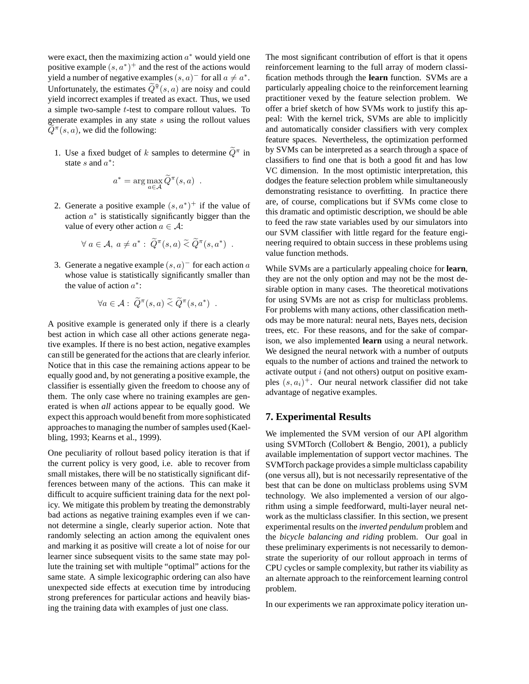were exact, then the maximizing action  $a^*$  would yield one positive example  $(s, a^*)^+$  and the rest of the actions would yield a number of negative examples  $(s, a)$ <sup>-</sup> for all  $a \neq a^*$ . Unfortunately, the estimates  $\tilde{Q}^{\hat{\pi}}(s, a)$  are noisy and could vield incorrect examples if treated as exact. Thus, we used yield incorrect examples if treated as exact. Thus, we used a simple two-sample t-test to compare rollout values. To generate examples in any state s using the rollout values  $Q^{\pi}(s, a)$ , we did the following:

1. Use a fixed budget of k samples to determine  $\widetilde{Q}^{\pi}$  in state s and  $a^*$ :

$$
a^* = \arg\max_{a \in \mathcal{A}} \widetilde{Q}^{\pi}(s, a) .
$$

2. Generate a positive example  $(s, a^*)^+$  if the value of action  $a^*$  is statistically significantly bigger than the value of every other action  $a \in \mathcal{A}$ :

$$
\forall a \in \mathcal{A}, a \neq a^* : \widetilde{Q}^\pi(s, a) \widetilde{\leq} \widetilde{Q}^\pi(s, a^*) .
$$

3. Generate a negative example  $(s, a)$ <sup>-</sup> for each action a whose value is statistically significantly smaller than the value of action  $a^*$ :

$$
\forall a \in \mathcal{A} : \widetilde{Q}^{\pi}(s, a) \widetilde{\leq} \widetilde{Q}^{\pi}(s, a^*) .
$$

A positive example is generated only if there is a clearly best action in which case all other actions generate negative examples. If there is no best action, negative examples can still be generated for the actions that are clearly inferior. Notice that in this case the remaining actions appear to be equally good and, by not generating a positive example, the classifier is essentially given the freedom to choose any of them. The only case where no training examples are generated is when *all* actions appear to be equally good. We expect this approach would benefit from more sophisticated approaches to managing the number of samples used (Kaelbling, 1993; Kearns et al., 1999).

One peculiarity of rollout based policy iteration is that if the current policy is very good, i.e. able to recover from small mistakes, there will be no statistically significant differences between many of the actions. This can make it difficult to acquire sufficient training data for the next policy. We mitigate this problem by treating the demonstrably bad actions as negative training examples even if we cannot determine a single, clearly superior action. Note that randomly selecting an action among the equivalent ones and marking it as positive will create a lot of noise for our learner since subsequent visits to the same state may pollute the training set with multiple "optimal" actions for the same state. A simple lexicographic ordering can also have unexpected side effects at execution time by introducing strong preferences for particular actions and heavily biasing the training data with examples of just one class.

The most significant contribution of effort is that it opens reinforcement learning to the full array of modern classification methods through the **learn** function. SVMs are a particularly appealing choice to the reinforcement learning practitioner vexed by the feature selection problem. We offer a brief sketch of how SVMs work to justify this appeal: With the kernel trick, SVMs are able to implicitly and automatically consider classifiers with very complex feature spaces. Nevertheless, the optimization performed by SVMs can be interpreted as a search through a space of classifiers to find one that is both a good fit and has low VC dimension. In the most optimistic interpretation, this dodges the feature selection problem while simultaneously demonstrating resistance to overfitting. In practice there are, of course, complications but if SVMs come close to this dramatic and optimistic description, we should be able to feed the raw state variables used by our simulators into our SVM classifier with little regard for the feature engineering required to obtain success in these problems using value function methods.

While SVMs are a particularly appealing choice for **learn**, they are not the only option and may not be the most desirable option in many cases. The theoretical motivations for using SVMs are not as crisp for multiclass problems. For problems with many actions, other classification methods may be more natural: neural nets, Bayes nets, decision trees, etc. For these reasons, and for the sake of comparison, we also implemented **learn** using a neural network. We designed the neural network with a number of outputs equals to the number of actions and trained the network to activate output  $i$  (and not others) output on positive examples  $(s, a_i)^+$ . Our neural network classifier did not take advantage of negative examples.

### **7. Experimental Results**

We implemented the SVM version of our API algorithm using SVMTorch (Collobert & Bengio, 2001), a publicly available implementation of support vector machines. The SVMTorch package provides a simple multiclass capability (one versus all), but is not necessarily representative of the best that can be done on multiclass problems using SVM technology. We also implemented a version of our algorithm using a simple feedforward, multi-layer neural network as the multiclass classifier. In this section, we present experimental results on the *inverted pendulum* problem and the *bicycle balancing and riding* problem. Our goal in these preliminary experiments is not necessarily to demonstrate the superiority of our rollout approach in terms of CPU cycles or sample complexity, but rather its viability as an alternate approach to the reinforcement learning control problem.

In our experiments we ran approximate policy iteration un-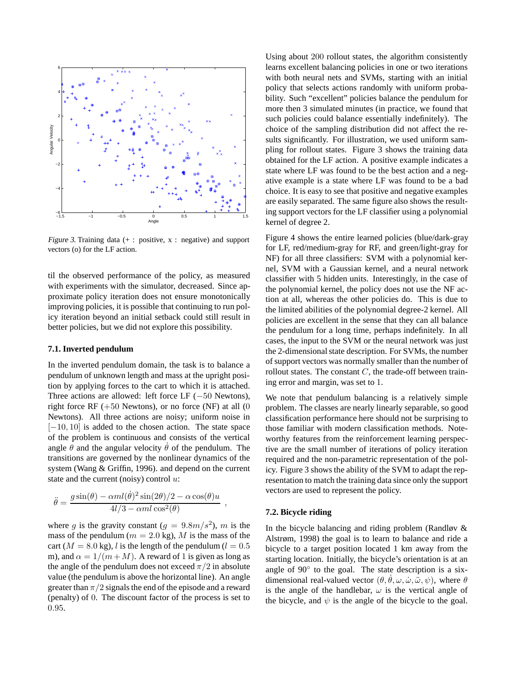

Figure 3. Training data  $(+)$ : positive,  $x$ : negative) and support vectors (o) for the LF action.

til the observed performance of the policy, as measured with experiments with the simulator, decreased. Since approximate policy iteration does not ensure monotonically improving policies, it is possible that continuing to run policy iteration beyond an initial setback could still result in better policies, but we did not explore this possibility.

#### **7.1. Inverted pendulum**

In the inverted pendulum domain, the task is to balance a pendulum of unknown length and mass at the upright position by applying forces to the cart to which it is attached. Three actions are allowed: left force LF (−50 Newtons), right force RF  $(+50$  Newtons), or no force (NF) at all  $(0)$ Newtons). All three actions are noisy; uniform noise in [−10, 10] is added to the chosen action. The state space of the problem is continuous and consists of the vertical angle  $\theta$  and the angular velocity  $\theta$  of the pendulum. The transitions are governed by the nonlinear dynamics of the system (Wang & Griffin, 1996). and depend on the current state and the current (noisy) control  $u$ :

$$
\ddot{\theta} = \frac{g \sin(\theta) - \alpha m l(\dot{\theta})^2 \sin(2\theta)/2 - \alpha \cos(\theta) u}{4l/3 - \alpha m l \cos^2(\theta)} ,
$$

where g is the gravity constant  $(g = 9.8m/s^2)$ , m is the mass of the pendulum ( $m = 2.0$  kg), M is the mass of the cart ( $M = 8.0$  kg), l is the length of the pendulum ( $l = 0.5$ ) m), and  $\alpha = 1/(m+M)$ . A reward of 1 is given as long as the angle of the pendulum does not exceed  $\pi/2$  in absolute value (the pendulum is above the horizontal line). An angle greater than  $\pi/2$  signals the end of the episode and a reward (penalty) of 0. The discount factor of the process is set to 0.95.

Using about 200 rollout states, the algorithm consistently learns excellent balancing policies in one or two iterations with both neural nets and SVMs, starting with an initial policy that selects actions randomly with uniform probability. Such "excellent" policies balance the pendulum for more then 3 simulated minutes (in practice, we found that such policies could balance essentially indefinitely). The choice of the sampling distribution did not affect the results significantly. For illustration, we used uniform sampling for rollout states. Figure 3 shows the training data obtained for the LF action. A positive example indicates a state where LF was found to be the best action and a negative example is a state where LF was found to be a bad choice. It is easy to see that positive and negative examples are easily separated. The same figure also shows the resulting support vectors for the LF classifier using a polynomial kernel of degree 2.

Figure 4 shows the entire learned policies (blue/dark-gray for LF, red/medium-gray for RF, and green/light-gray for NF) for all three classifiers: SVM with a polynomial kernel, SVM with a Gaussian kernel, and a neural network classifier with 5 hidden units. Interestingly, in the case of the polynomial kernel, the policy does not use the NF action at all, whereas the other policies do. This is due to the limited abilities of the polynomial degree-2 kernel. All policies are excellent in the sense that they can all balance the pendulum for a long time, perhaps indefinitely. In all cases, the input to the SVM or the neural network was just the 2-dimensional state description. For SVMs, the number of support vectors was normally smaller than the number of rollout states. The constant  $C$ , the trade-off between training error and margin, was set to 1.

We note that pendulum balancing is a relatively simple problem. The classes are nearly linearly separable, so good classification performance here should not be surprising to those familiar with modern classification methods. Noteworthy features from the reinforcement learning perspective are the small number of iterations of policy iteration required and the non-parametric representation of the policy. Figure 3 shows the ability of the SVM to adapt the representation to match the training data since only the support vectors are used to represent the policy.

#### **7.2. Bicycle riding**

In the bicycle balancing and riding problem (Randløv  $\&$ Alstrøm, 1998) the goal is to learn to balance and ride a bicycle to a target position located 1 km away from the starting location. Initially, the bicycle's orientation is at an angle of 90° to the goal. The state description is a sixdimensional real-valued vector  $(\theta, \theta, \omega, \dot{\omega}, \ddot{\omega}, \psi)$ , where  $\theta$ <br>is the angle of the handlebar  $\omega$  is the vertical angle of is the angle of the handlebar,  $\omega$  is the vertical angle of the bicycle, and  $\psi$  is the angle of the bicycle to the goal.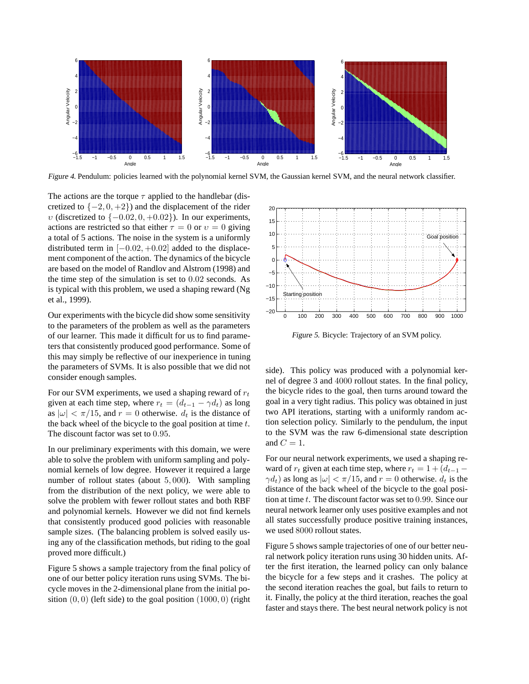

Figure 4. Pendulum: policies learned with the polynomial kernel SVM, the Gaussian kernel SVM, and the neural network classifier.

The actions are the torque  $\tau$  applied to the handlebar (discretized to  $\{-2, 0, +2\}$  and the displacement of the rider v (discretized to  $\{-0.02, 0, +0.02\}$ ). In our experiments, actions are restricted so that either  $\tau = 0$  or  $v = 0$  giving a total of 5 actions. The noise in the system is a uniformly distributed term in  $[-0.02, +0.02]$  added to the displacement component of the action. The dynamics of the bicycle are based on the model of Randlov and Alstrom (1998) and the time step of the simulation is set to 0.02 seconds. As is typical with this problem, we used a shaping reward (Ng et al., 1999).

Our experiments with the bicycle did show some sensitivity to the parameters of the problem as well as the parameters of our learner. This made it difficult for us to find parameters that consistently produced good performance. Some of this may simply be reflective of our inexperience in tuning the parameters of SVMs. It is also possible that we did not consider enough samples.

For our SVM experiments, we used a shaping reward of  $r_t$ given at each time step, where  $r_t = (d_{t-1} - \gamma d_t)$  as long as  $|\omega| < \pi/15$ , and  $r = 0$  otherwise.  $d_t$  is the distance of the back wheel of the bicycle to the goal position at time  $t$ . The discount factor was set to 0.95.

In our preliminary experiments with this domain, we were able to solve the problem with uniform sampling and polynomial kernels of low degree. However it required a large number of rollout states (about 5, 000). With sampling from the distribution of the next policy, we were able to solve the problem with fewer rollout states and both RBF and polynomial kernels. However we did not find kernels that consistently produced good policies with reasonable sample sizes. (The balancing problem is solved easily using any of the classification methods, but riding to the goal proved more difficult.)

Figure 5 shows a sample trajectory from the final policy of one of our better policy iteration runs using SVMs. The bicycle moves in the 2-dimensional plane from the initial position  $(0, 0)$  (left side) to the goal position  $(1000, 0)$  (right



Figure 5. Bicycle: Trajectory of an SVM policy.

side). This policy was produced with a polynomial kernel of degree 3 and 4000 rollout states. In the final policy, the bicycle rides to the goal, then turns around toward the goal in a very tight radius. This policy was obtained in just two API iterations, starting with a uniformly random action selection policy. Similarly to the pendulum, the input to the SVM was the raw 6-dimensional state description and  $C = 1$ .

For our neural network experiments, we used a shaping reward of  $r_t$  given at each time step, where  $r_t = 1 + (d_{t-1} \gamma d_t$ ) as long as  $|\omega| < \pi/15$ , and  $r = 0$  otherwise.  $d_t$  is the distance of the back wheel of the bicycle to the goal position at time t. The discount factor was set to 0.99. Since our neural network learner only uses positive examples and not all states successfully produce positive training instances, we used 8000 rollout states.

Figure 5 shows sample trajectories of one of our better neural network policy iteration runs using 30 hidden units. After the first iteration, the learned policy can only balance the bicycle for a few steps and it crashes. The policy at the second iteration reaches the goal, but fails to return to it. Finally, the policy at the third iteration, reaches the goal faster and stays there. The best neural network policy is not